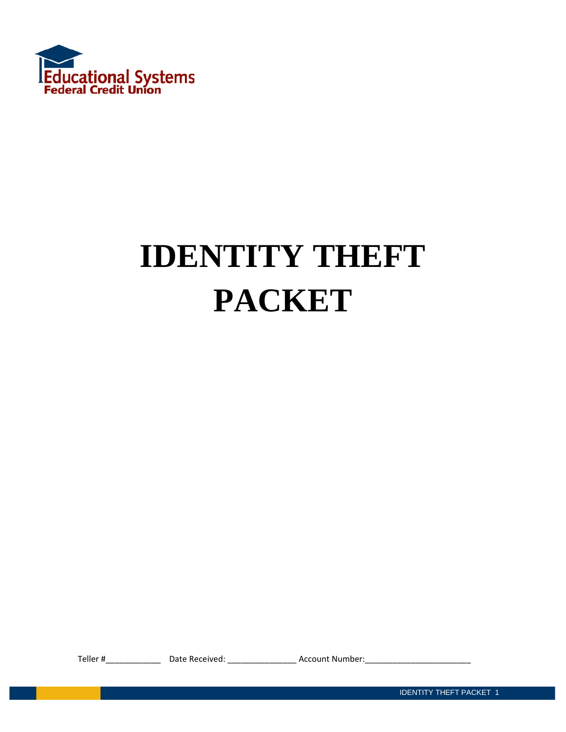

# **IDENTITY THEFT PACKET**

Teller #\_\_\_\_\_\_\_\_\_\_\_\_ Date Received: \_\_\_\_\_\_\_\_\_\_\_\_\_\_\_ Account Number:\_\_\_\_\_\_\_\_\_\_\_\_\_\_\_\_\_\_\_\_\_\_\_

IDENTITY THEFT PACKET 1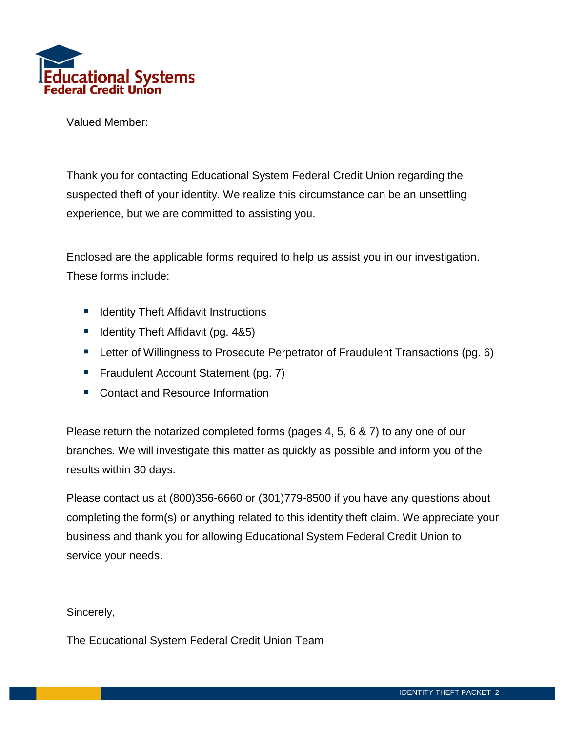

Valued Member:

Thank you for contacting Educational System Federal Credit Union regarding the suspected theft of your identity. We realize this circumstance can be an unsettling experience, but we are committed to assisting you.

Enclosed are the applicable forms required to help us assist you in our investigation. These forms include:

- **If** Identity Theft Affidavit Instructions
- $\blacksquare$  Identity Theft Affidavit (pg. 4&5)
- **E** Letter of Willingness to Prosecute Perpetrator of Fraudulent Transactions (pg. 6)
- **Fraudulent Account Statement (pg. 7)**
- Contact and Resource Information

Please return the notarized completed forms (pages 4, 5, 6 & 7) to any one of our branches. We will investigate this matter as quickly as possible and inform you of the results within 30 days.

Please contact us at (800)356-6660 or (301)779-8500 if you have any questions about completing the form(s) or anything related to this identity theft claim. We appreciate your business and thank you for allowing Educational System Federal Credit Union to service your needs.

Sincerely,

The Educational System Federal Credit Union Team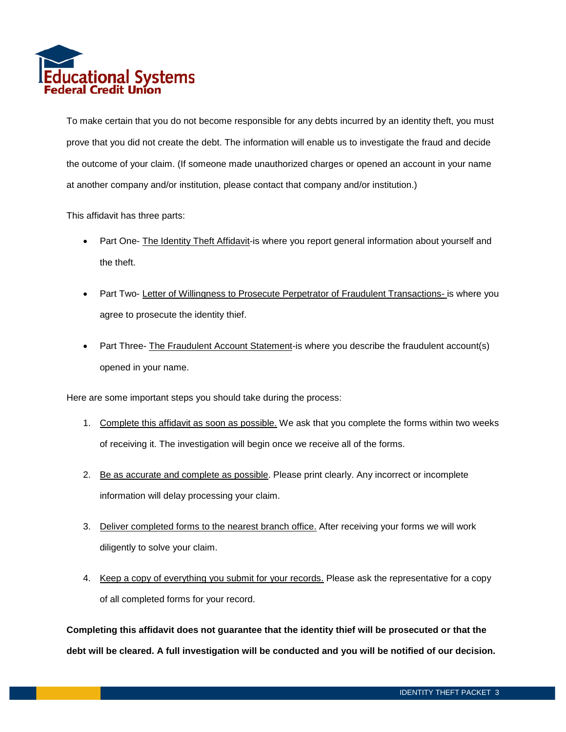

To make certain that you do not become responsible for any debts incurred by an identity theft, you must prove that you did not create the debt. The information will enable us to investigate the fraud and decide the outcome of your claim. (If someone made unauthorized charges or opened an account in your name at another company and/or institution, please contact that company and/or institution.)

This affidavit has three parts:

- Part One- The Identity Theft Affidavit-is where you report general information about yourself and the theft.
- Part Two- Letter of Willingness to Prosecute Perpetrator of Fraudulent Transactions- is where you agree to prosecute the identity thief.
- Part Three- The Fraudulent Account Statement-is where you describe the fraudulent account(s) opened in your name.

Here are some important steps you should take during the process:

- 1. Complete this affidavit as soon as possible. We ask that you complete the forms within two weeks of receiving it. The investigation will begin once we receive all of the forms.
- 2. Be as accurate and complete as possible. Please print clearly. Any incorrect or incomplete information will delay processing your claim.
- 3. Deliver completed forms to the nearest branch office. After receiving your forms we will work diligently to solve your claim.
- 4. Keep a copy of everything you submit for your records. Please ask the representative for a copy of all completed forms for your record.

**Completing this affidavit does not guarantee that the identity thief will be prosecuted or that the debt will be cleared. A full investigation will be conducted and you will be notified of our decision.**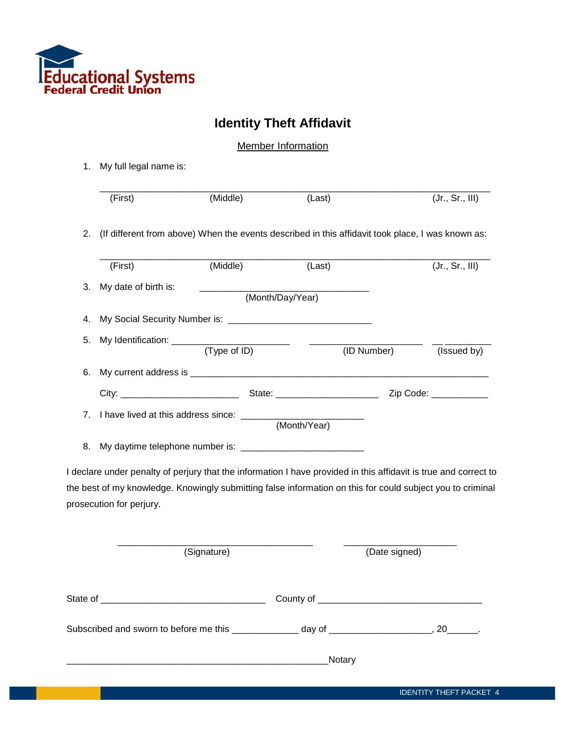

## **Identity Theft Affidavit**

**Member Information** 

1. My full legal name is:

|    | (First)                  | (Middle)                                    | (Last)           | (Jr., Sr., III)                                                                                                  |
|----|--------------------------|---------------------------------------------|------------------|------------------------------------------------------------------------------------------------------------------|
| 2. |                          |                                             |                  | (If different from above) When the events described in this affidavit took place, I was known as:                |
|    | (First)                  | (Middle)                                    | (Last)           | (Jr., Sr., III)                                                                                                  |
| 3. | My date of birth is:     |                                             | (Month/Day/Year) |                                                                                                                  |
| 4. |                          |                                             |                  |                                                                                                                  |
| 5. |                          |                                             |                  | (ID Number)<br>(Issued by)                                                                                       |
| 6. |                          |                                             |                  |                                                                                                                  |
|    |                          |                                             |                  |                                                                                                                  |
| 7. |                          | I have lived at this address since: _______ | (Month/Year)     |                                                                                                                  |
| 8. |                          |                                             |                  |                                                                                                                  |
|    |                          |                                             |                  | I declare under penalty of perjury that the information I have provided in this affidavit is true and correct to |
|    |                          |                                             |                  | the best of my knowledge. Knowingly submitting false information on this for could subject you to criminal       |
|    | prosecution for perjury. |                                             |                  |                                                                                                                  |
|    |                          | (Signature)                                 |                  | (Date signed)                                                                                                    |
|    |                          |                                             |                  |                                                                                                                  |
|    |                          |                                             |                  | Subscribed and sworn to before me this _____________ day of ____________________, 20______.                      |

\_\_\_\_\_\_\_\_\_\_\_\_\_\_\_\_\_\_\_\_\_\_\_\_\_\_\_\_\_\_\_\_\_\_\_\_\_\_\_\_\_\_\_\_\_\_\_\_\_\_\_Notary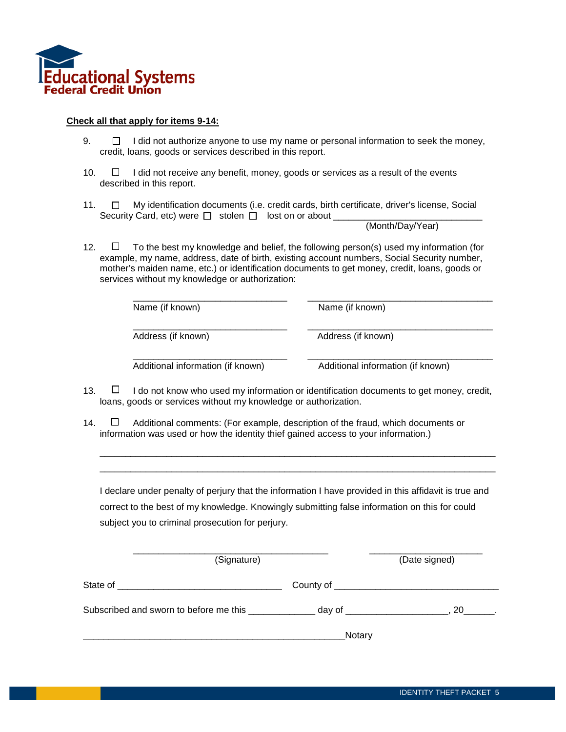

#### **Check all that apply for items 9-14:**

- $9. \Box$  I did not authorize anyone to use my name or personal information to seek the money, credit, loans, goods or services described in this report.
- 10.  $\Box$  I did not receive any benefit, money, goods or services as a result of the events described in this report.
- 11.  $\Box$  My identification documents (i.e. credit cards, birth certificate, driver's license, Social Security Card, etc) were  $\Box$  stolen  $\Box$  lost on or about  $\Box$

(Month/Day/Year)

12.  $\Box$  To the best my knowledge and belief, the following person(s) used my information (for example, my name, address, date of birth, existing account numbers, Social Security number, mother's maiden name, etc.) or identification documents to get money, credit, loans, goods or services without my knowledge or authorization:

| Name (if known)                   | Name (if known)                   |
|-----------------------------------|-----------------------------------|
| Address (if known)                | Address (if known)                |
| Additional information (if known) | Additional information (if known) |

- 13.  $\Box$  I do not know who used my information or identification documents to get money, credit, loans, goods or services without my knowledge or authorization.
- 14.  $\Box$  Additional comments: (For example, description of the fraud, which documents or information was used or how the identity thief gained access to your information.)

| I declare under penalty of perjury that the information I have provided in this affidavit is true and |
|-------------------------------------------------------------------------------------------------------|
| correct to the best of my knowledge. Knowingly submitting false information on this for could         |
| subject you to criminal prosecution for perjury.                                                      |

\_\_\_\_\_\_\_\_\_\_\_\_\_\_\_\_\_\_\_\_\_\_\_\_\_\_\_\_\_\_\_\_\_\_\_\_\_\_\_\_\_\_\_\_\_\_\_\_\_\_\_\_\_\_\_\_\_\_\_\_\_\_\_\_\_\_\_\_\_\_\_\_\_\_\_\_\_ \_\_\_\_\_\_\_\_\_\_\_\_\_\_\_\_\_\_\_\_\_\_\_\_\_\_\_\_\_\_\_\_\_\_\_\_\_\_\_\_\_\_\_\_\_\_\_\_\_\_\_\_\_\_\_\_\_\_\_\_\_\_\_\_\_\_\_\_\_\_\_\_\_\_\_\_\_

| (Signature)                                      |                      | (Date signed) |
|--------------------------------------------------|----------------------|---------------|
| State of                                         |                      |               |
| Subscribed and sworn to before me this _________ | day of _____________ | 20 L          |
|                                                  | <b>Notary</b>        |               |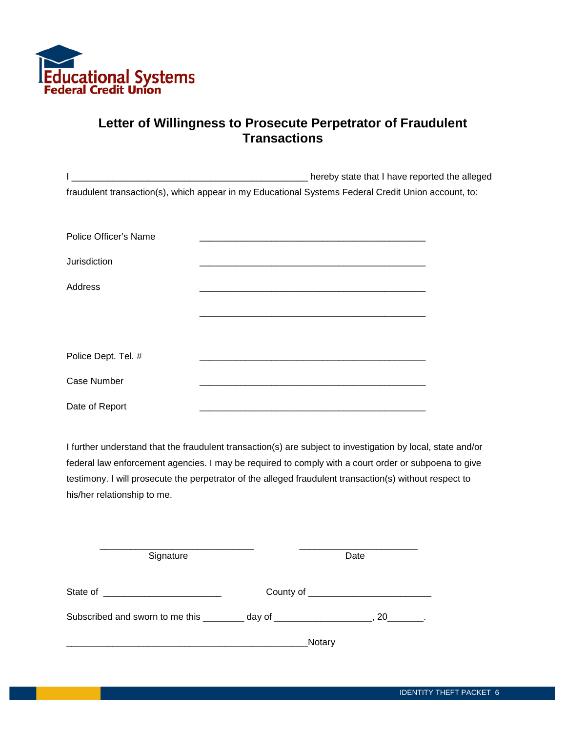

### **Letter of Willingness to Prosecute Perpetrator of Fraudulent Transactions**

|                       | hereby state that I have reported the alleged                                                       |  |
|-----------------------|-----------------------------------------------------------------------------------------------------|--|
|                       | fraudulent transaction(s), which appear in my Educational Systems Federal Credit Union account, to: |  |
|                       |                                                                                                     |  |
| Police Officer's Name |                                                                                                     |  |
|                       |                                                                                                     |  |
| Jurisdiction          |                                                                                                     |  |
| Address               |                                                                                                     |  |
|                       |                                                                                                     |  |
|                       |                                                                                                     |  |
|                       |                                                                                                     |  |
| Police Dept. Tel. #   |                                                                                                     |  |
| <b>Case Number</b>    |                                                                                                     |  |
| Date of Report        |                                                                                                     |  |

I further understand that the fraudulent transaction(s) are subject to investigation by local, state and/or federal law enforcement agencies. I may be required to comply with a court order or subpoena to give testimony. I will prosecute the perpetrator of the alleged fraudulent transaction(s) without respect to his/her relationship to me.

| Signature                                                                        | Date                            |
|----------------------------------------------------------------------------------|---------------------------------|
| State of<br><u> 1980 - Andrea Andrew Maria (h. 1980).</u>                        | County of _____________________ |
| Subscribed and sworn to me this _________ day of _______________________________ | 20                              |
|                                                                                  | Notary                          |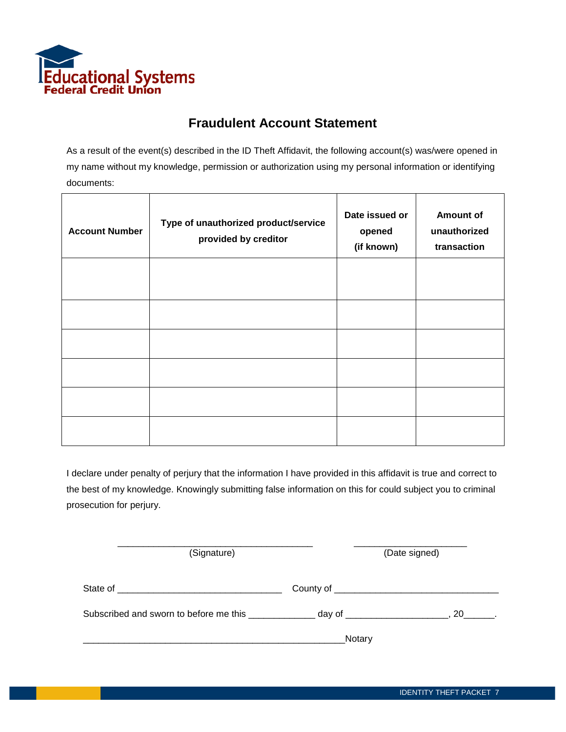

#### **Fraudulent Account Statement**

As a result of the event(s) described in the ID Theft Affidavit, the following account(s) was/were opened in my name without my knowledge, permission or authorization using my personal information or identifying documents:

| <b>Account Number</b> | Type of unauthorized product/service<br>provided by creditor | Date issued or<br>opened<br>(if known) | <b>Amount of</b><br>unauthorized<br>transaction |
|-----------------------|--------------------------------------------------------------|----------------------------------------|-------------------------------------------------|
|                       |                                                              |                                        |                                                 |
|                       |                                                              |                                        |                                                 |
|                       |                                                              |                                        |                                                 |
|                       |                                                              |                                        |                                                 |
|                       |                                                              |                                        |                                                 |
|                       |                                                              |                                        |                                                 |

I declare under penalty of perjury that the information I have provided in this affidavit is true and correct to the best of my knowledge. Knowingly submitting false information on this for could subject you to criminal prosecution for perjury.

| (Signature)                                                                                   |                                    | (Date signed) |  |
|-----------------------------------------------------------------------------------------------|------------------------------------|---------------|--|
|                                                                                               | County of ________________________ |               |  |
| Subscribed and sworn to before me this _______________ day of ____________________, 20______. |                                    |               |  |
|                                                                                               | Notary                             |               |  |